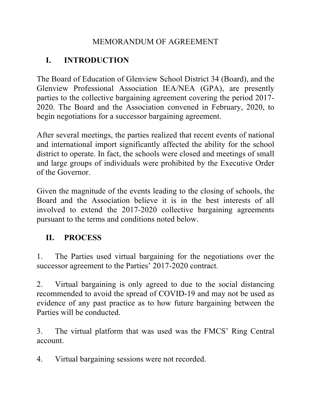# MEMORANDUM OF AGREEMENT

# **I. INTRODUCTION**

The Board of Education of Glenview School District 34 (Board), and the Glenview Professional Association IEA/NEA (GPA), are presently parties to the collective bargaining agreement covering the period 2017- 2020. The Board and the Association convened in February, 2020, to begin negotiations for a successor bargaining agreement.

After several meetings, the parties realized that recent events of national and international import significantly affected the ability for the school district to operate. In fact, the schools were closed and meetings of small and large groups of individuals were prohibited by the Executive Order of the Governor.

Given the magnitude of the events leading to the closing of schools, the Board and the Association believe it is in the best interests of all involved to extend the 2017-2020 collective bargaining agreements pursuant to the terms and conditions noted below.

# **II. PROCESS**

1. The Parties used virtual bargaining for the negotiations over the successor agreement to the Parties' 2017-2020 contract.

2. Virtual bargaining is only agreed to due to the social distancing recommended to avoid the spread of COVID-19 and may not be used as evidence of any past practice as to how future bargaining between the Parties will be conducted.

3. The virtual platform that was used was the FMCS' Ring Central account.

4. Virtual bargaining sessions were not recorded.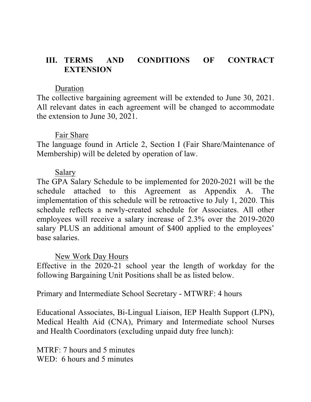## **III. TERMS AND CONDITIONS OF CONTRACT EXTENSION**

#### Duration

The collective bargaining agreement will be extended to June 30, 2021. All relevant dates in each agreement will be changed to accommodate the extension to June 30, 2021.

### Fair Share

The language found in Article 2, Section I (Fair Share/Maintenance of Membership) will be deleted by operation of law.

### Salary

The GPA Salary Schedule to be implemented for 2020-2021 will be the schedule attached to this Agreement as Appendix A. The implementation of this schedule will be retroactive to July 1, 2020. This schedule reflects a newly-created schedule for Associates. All other employees will receive a salary increase of 2.3% over the 2019-2020 salary PLUS an additional amount of \$400 applied to the employees' base salaries.

### New Work Day Hours

Effective in the 2020-21 school year the length of workday for the following Bargaining Unit Positions shall be as listed below.

Primary and Intermediate School Secretary - MTWRF: 4 hours

Educational Associates, Bi-Lingual Liaison, IEP Health Support (LPN), Medical Health Aid (CNA), Primary and Intermediate school Nurses and Health Coordinators (excluding unpaid duty free lunch):

MTRF: 7 hours and 5 minutes WED: 6 hours and 5 minutes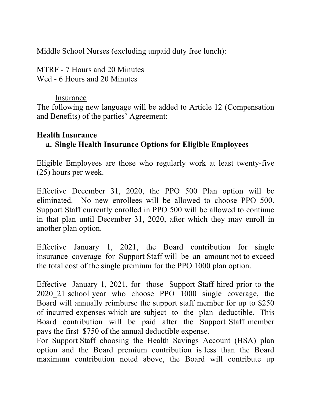Middle School Nurses (excluding unpaid duty free lunch):

MTRF - 7 Hours and 20 Minutes Wed - 6 Hours and 20 Minutes

### **Insurance**

The following new language will be added to Article 12 (Compensation and Benefits) of the parties' Agreement:

### **Health Insurance**

# **a. Single Health Insurance Options for Eligible Employees**

Eligible Employees are those who regularly work at least twenty-five (25) hours per week.

Effective December 31, 2020, the PPO 500 Plan option will be eliminated. No new enrollees will be allowed to choose PPO 500. Support Staff currently enrolled in PPO 500 will be allowed to continue in that plan until December 31, 2020, after which they may enroll in another plan option.

Effective January 1, 2021, the Board contribution for single insurance coverage for Support Staff will be an amount not to exceed the total cost of the single premium for the PPO 1000 plan option.

Effective January 1, 2021, for those Support Staff hired prior to the 2020\_21 school year who choose PPO 1000 single coverage, the Board will annually reimburse the support staff member for up to \$250 of incurred expenses which are subject to the plan deductible. This Board contribution will be paid after the Support Staff member pays the first \$750 of the annual deductible expense.

For Support Staff choosing the Health Savings Account (HSA) plan option and the Board premium contribution is less than the Board maximum contribution noted above, the Board will contribute up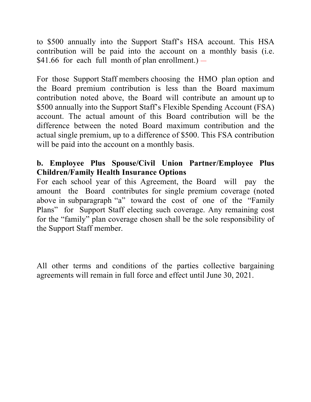to \$500 annually into the Support Staff's HSA account. This HSA contribution will be paid into the account on a monthly basis (i.e.  $$41.66$  for each full month of plan enrollment.) -

For those Support Staff members choosing the HMO plan option and the Board premium contribution is less than the Board maximum contribution noted above, the Board will contribute an amount up to \$500 annually into the Support Staff's Flexible Spending Account (FSA) account. The actual amount of this Board contribution will be the difference between the noted Board maximum contribution and the actual single premium, up to a difference of \$500. This FSA contribution will be paid into the account on a monthly basis.

# **b. Employee Plus Spouse/Civil Union Partner/Employee Plus Children/Family Health Insurance Options**

For each school year of this Agreement, the Board will pay the amount the Board contributes for single premium coverage (noted above in subparagraph "a" toward the cost of one of the "Family Plans" for Support Staff electing such coverage. Any remaining cost for the "family" plan coverage chosen shall be the sole responsibility of the Support Staff member.

All other terms and conditions of the parties collective bargaining agreements will remain in full force and effect until June 30, 2021.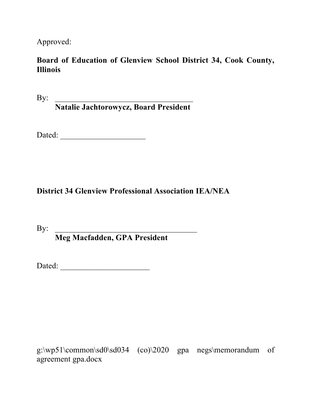Approved:

## **Board of Education of Glenview School District 34, Cook County, Illinois**

 $\mathbf{By:}$ 

**Natalie Jachtorowycz, Board President**

Dated: \_\_\_\_\_\_\_\_\_\_\_\_\_\_\_\_\_\_\_\_\_

# **District 34 Glenview Professional Association IEA/NEA**

By:  $\Box$ 

**Meg Macfadden, GPA President**

Dated: \_\_\_\_\_\_\_\_\_\_\_\_\_\_\_\_\_\_\_\_\_\_

g:\wp51\common\sd0\sd034 (co)\2020 gpa negs\memorandum of agreement gpa.docx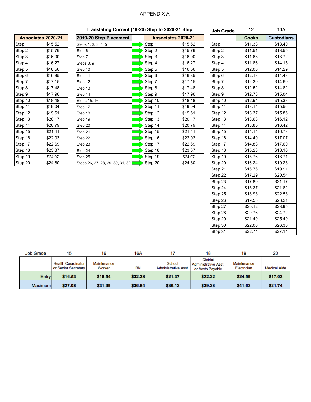#### APPENDIX A

|         | <b>Associates 2020-21</b> |
|---------|---------------------------|
| Step 1  | \$15.52                   |
| Step 2  | \$15.76                   |
| Step 3  | \$16.00                   |
| Step 4  | \$16.27                   |
| Step 5  | \$16.56                   |
| Step 6  | \$16.85                   |
| Step 7  | \$17.15                   |
| Step 8  | \$17.48                   |
| Step 9  | \$17.96                   |
| Step 10 | \$18.48                   |
| Step 11 | \$19.04                   |
| Step 12 | \$19.61                   |
| Step 13 | \$20.17                   |
| Step 14 | \$20.79                   |
| Step 15 | \$21.41                   |
| Step 16 | \$22.03                   |
| Step 17 | \$22.69                   |
| Step 18 | \$23.37                   |
| Step 19 | \$24.07                   |
| Step 20 | \$24.80                   |

Г

|                           |         |                                  | Translating Current (19-20) Step to 2020-21 Step |         |         |              |                   | 14A     |  |
|---------------------------|---------|----------------------------------|--------------------------------------------------|---------|---------|--------------|-------------------|---------|--|
| <b>Associates 2020-21</b> |         | 2019-20 Step Placement           | <b>Associates 2020-21</b>                        |         |         | <b>Cooks</b> | <b>Custodians</b> |         |  |
| Step 1                    | \$15.52 | Steps 1, 2, 3, 4, 5              |                                                  | Step 1  | \$15.52 | Step 1       | \$11.33           | \$13.40 |  |
| Step 2                    | \$15.76 | Step 6                           |                                                  | Step 2  | \$15.76 | Step 2       | \$11.51           | \$13.55 |  |
| Step 3                    | \$16.00 | Step 7                           |                                                  | Step 3  | \$16.00 | Step 3       | \$11.68           | \$13.72 |  |
| Step 4                    | \$16.27 | Steps 8, 9                       |                                                  | Step 4  | \$16.27 | Step 4       | \$11.86           | \$14.15 |  |
| Step 5                    | \$16.56 | Step 10                          |                                                  | Step 5  | \$16.56 | Step 5       | \$12.00           | \$14.29 |  |
| Step 6                    | \$16.85 | Step 11                          |                                                  | Step 6  | \$16.85 | Step 6       | \$12.13           | \$14.43 |  |
| Step 7                    | \$17.15 | Step 12                          |                                                  | Step 7  | \$17.15 | Step 7       | \$12.30           | \$14.60 |  |
| Step 8                    | \$17.48 | Step 13                          |                                                  | Step 8  | \$17.48 | Step 8       | \$12.52           | \$14.82 |  |
| Step 9                    | \$17.96 | Step 14                          |                                                  | Step 9  | \$17.96 | Step 9       | \$12.73           | \$15.04 |  |
| Step 10                   | \$18.48 | Steps 15, 16                     |                                                  | Step 10 | \$18.48 | Step 10      | \$12.94           | \$15.33 |  |
| Step 11                   | \$19.04 | Step 17                          |                                                  | Step 11 | \$19.04 | Step 11      | \$13.14           | \$15.56 |  |
| Step 12                   | \$19.61 | Step 18                          |                                                  | Step 12 | \$19.61 | Step 12      | \$13.37           | \$15.86 |  |
| Step 13                   | \$20.17 | Step 19                          |                                                  | Step 13 | \$20.17 | Step 13      | \$13.63           | \$16.12 |  |
| Step 14                   | \$20.79 | Step 20                          |                                                  | Step 14 | \$20.79 | Step 14      | \$13.85           | \$16.42 |  |
| Step 15                   | \$21.41 | Step 21                          |                                                  | Step 15 | \$21.41 | Step 15      | \$14.14           | \$16.73 |  |
| Step 16                   | \$22.03 | Step 22                          |                                                  | Step 16 | \$22.03 | Step 16      | \$14.40           | \$17.07 |  |
| Step 17                   | \$22.69 | Step 23                          |                                                  | Step 17 | \$22.69 | Step 17      | \$14.83           | \$17.60 |  |
| Step 18                   | \$23.37 | Step 24                          |                                                  | Step 18 | \$23.37 | Step 18      | \$15.28           | \$18.16 |  |
| Step 19                   | \$24.07 | Step 25                          |                                                  | Step 19 | \$24.07 | Step 19      | \$15.76           | \$18.71 |  |
| Step 20                   | \$24.80 | Steps 26, 27, 28, 29, 30, 31, 32 |                                                  | Step 20 | \$24.80 | Step 20      | \$16.24           | \$19.28 |  |
|                           |         |                                  |                                                  |         |         |              |                   |         |  |

| <b>Job Grade</b> | 12<br>14A |                   |
|------------------|-----------|-------------------|
|                  | Cooks     | <b>Custodians</b> |
| Step 1           | \$11.33   | \$13.40           |
| Step 2           | \$11.51   | \$13.55           |
| Step 3           | \$11.68   | \$13.72           |
| Step 4           | \$11.86   | \$14.15           |
| Step 5           | \$12.00   | \$14.29           |
| Step 6           | \$12.13   | \$14.43           |
| Step 7           | \$12.30   | \$14.60           |
| Step 8           | \$12.52   | \$14.82           |
| Step 9           | \$12.73   | \$15.04           |
| Step 10          | \$12.94   | \$15.33           |
| Step 11          | \$13.14   | \$15.56           |
| Step 12          | \$13.37   | \$15.86           |
| Step 13          | \$13.63   | \$16.12           |
| Step 14          | \$13.85   | \$16.42           |
| Step 15          | \$14.14   | \$16.73           |
| Step 16          | \$14.40   | \$17.07           |
| Step 17          | \$14.83   | \$17.60           |
| Step 18          | \$15.28   | \$18.16           |
| Step 19          | \$15.76   | \$18.71           |
| Step 20          | \$16.24   | \$19.28           |
| Step 21          | \$16.76   | \$19.91           |
| Step 22          | \$17.29   | \$20.54           |
| Step 23          | \$17.80   | \$21.17           |
| Step 24          | \$18.37   | \$21.82           |
| Step 25          | \$18.93   | \$22.53           |
| Step 26          | \$19.53   | \$23.21           |
| Step 27          | \$20.12   | \$23.95           |
| Step 28          | \$20.76   | \$24.72           |
| Step 29          | \$21.40   | \$25.49           |
| Step 30          | \$22.06   | \$26.30           |
| Step 31          | \$22.74   | \$27.14           |

| <b>Job Grade</b> | 15                                               | 16                    | 16A       | 17                                    | 18                                                                 | 19                         | 20                  |
|------------------|--------------------------------------------------|-----------------------|-----------|---------------------------------------|--------------------------------------------------------------------|----------------------------|---------------------|
|                  | <b>Health Coordinator</b><br>or Senior Secretary | Maintenance<br>Worker | <b>RN</b> | School<br><b>Administrative Asst.</b> | <b>District</b><br><b>Administrative Asst.</b><br>or Accts Payable | Maintenance<br>Electrician | <b>Medical Aide</b> |
| Entry            | \$16.53                                          | \$18.54               | \$32.38   | \$21.37                               | \$22.22                                                            | \$24.59                    | \$17.03             |
| Maximum I        | \$27.08                                          | \$31.39               | \$36.84   | \$36.13                               | \$39.28                                                            | \$41.62                    | \$21.74             |